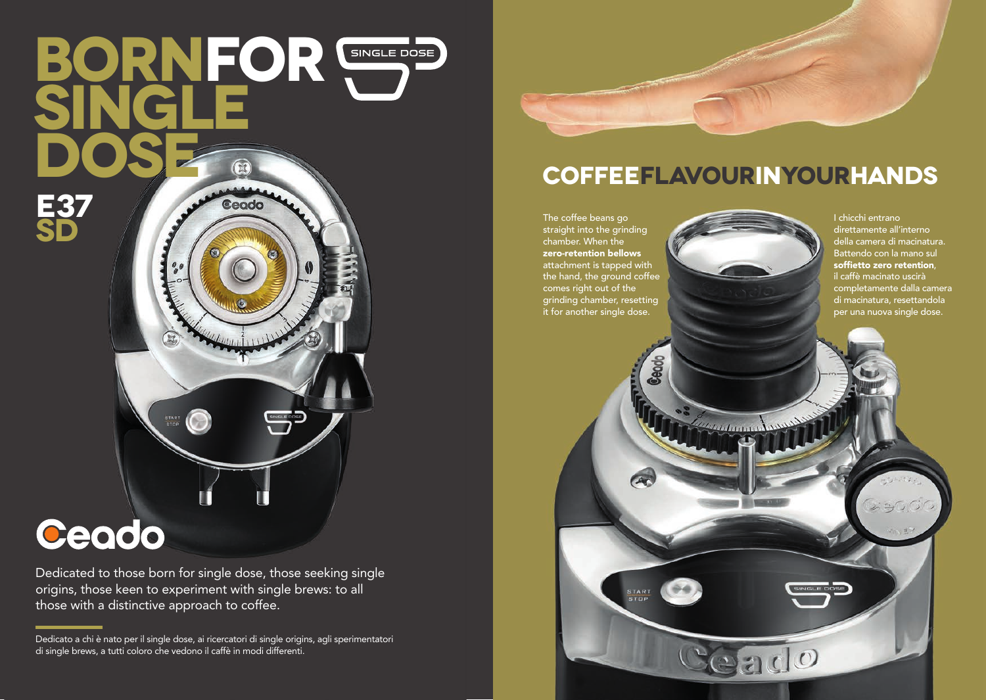## **BornFOR Single Dose**  $(x)$ **E37** Ceodo **SD**

# Ceado

Dedicated to those born for single dose, those seeking single origins, those keen to experiment with single brews: to all those with a distinctive approach to coffee.

Dedicato a chi è nato per il single dose, ai ricercatori di single origins, agli sperimentatori di single brews, a tutti coloro che vedono il caffè in modi differenti.



#### **coffeeflavourinyourhands**

The coffee beans go straight into the grinding chamber. When the zero-retention bellows attachment is tapped with the hand, the ground coffee comes right out of the grinding chamber, resetting it for another single dose.

**CAC** 

START<br>STOP

I chicchi entrano direttamente all'interno della camera di macinatura. Battendo con la mano sul soffietto zero retention, il caffè macinato uscirà completamente dalla camera di macinatura, resettandola per una nuova single dose.

*<u>extending the </u>* 

 $200$